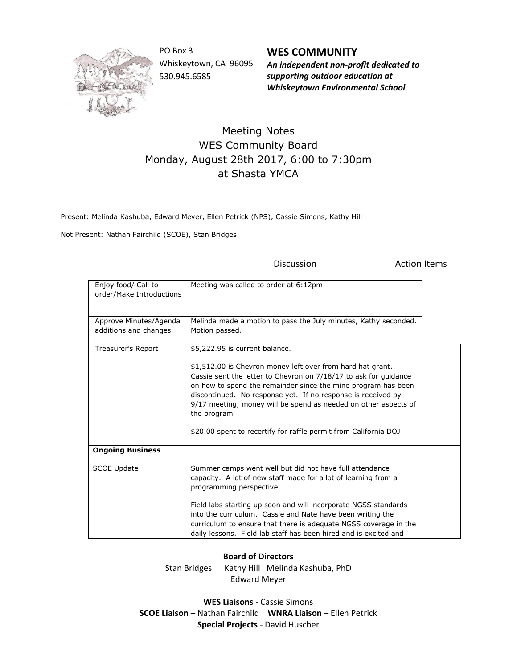

PO Box 3 Whiskeytown, CA 96095 530.945.6585

**WES COMMUNITY** *An independent non-profit dedicated to supporting outdoor education at Whiskeytown Environmental School*

Discussion **Action** Items

## Meeting Notes WES Community Board Monday, August 28th 2017, 6:00 to 7:30pm at Shasta YMCA

Present: Melinda Kashuba, Edward Meyer, Ellen Petrick (NPS), Cassie Simons, Kathy Hill

Not Present: Nathan Fairchild (SCOE), Stan Bridges

| Enjoy food/ Call to<br>order/Make Introductions | Meeting was called to order at 6:12pm                                                                                                                                                                                                                                                                                                                                                                                                                   |  |
|-------------------------------------------------|---------------------------------------------------------------------------------------------------------------------------------------------------------------------------------------------------------------------------------------------------------------------------------------------------------------------------------------------------------------------------------------------------------------------------------------------------------|--|
| Approve Minutes/Agenda<br>additions and changes | Melinda made a motion to pass the July minutes, Kathy seconded.<br>Motion passed.                                                                                                                                                                                                                                                                                                                                                                       |  |
| Treasurer's Report                              | \$5,222.95 is current balance.<br>\$1,512.00 is Chevron money left over from hard hat grant.<br>Cassie sent the letter to Chevron on 7/18/17 to ask for guidance<br>on how to spend the remainder since the mine program has been<br>discontinued. No response yet. If no response is received by<br>9/17 meeting, money will be spend as needed on other aspects of<br>the program<br>\$20.00 spent to recertify for raffle permit from California DOJ |  |
| <b>Ongoing Business</b>                         |                                                                                                                                                                                                                                                                                                                                                                                                                                                         |  |
| <b>SCOE Update</b>                              | Summer camps went well but did not have full attendance<br>capacity. A lot of new staff made for a lot of learning from a<br>programming perspective.<br>Field labs starting up soon and will incorporate NGSS standards<br>into the curriculum. Cassie and Nate have been writing the<br>curriculum to ensure that there is adequate NGSS coverage in the<br>daily lessons. Field lab staff has been hired and is excited and                          |  |

## **Board of Directors**

Stan Bridges Kathy Hill Melinda Kashuba, PhD Edward Meyer

**WES Liaisons** - Cassie Simons **SCOE Liaison** – Nathan Fairchild **WNRA Liaison** – Ellen Petrick **Special Projects** - David Huscher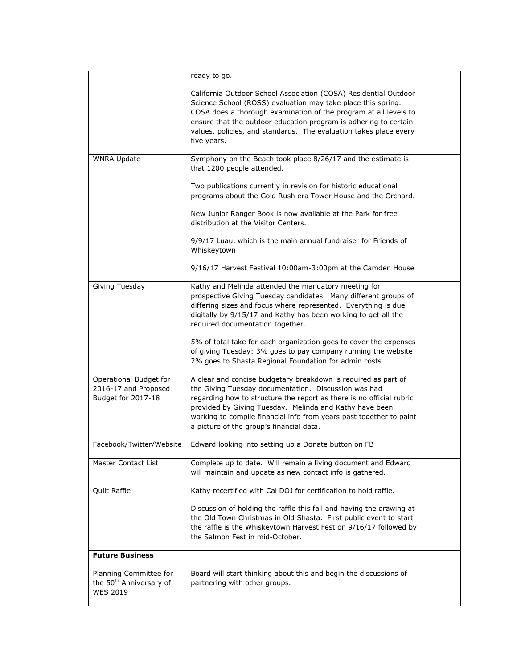|                                                                                  | ready to go.                                                                                                                                                                                                                                                                                                                                                                 |  |
|----------------------------------------------------------------------------------|------------------------------------------------------------------------------------------------------------------------------------------------------------------------------------------------------------------------------------------------------------------------------------------------------------------------------------------------------------------------------|--|
|                                                                                  | California Outdoor School Association (COSA) Residential Outdoor<br>Science School (ROSS) evaluation may take place this spring.<br>COSA does a thorough examination of the program at all levels to<br>ensure that the outdoor education program is adhering to certain<br>values, policies, and standards. The evaluation takes place every                                |  |
|                                                                                  | five years.                                                                                                                                                                                                                                                                                                                                                                  |  |
| <b>WNRA Update</b>                                                               | Symphony on the Beach took place 8/26/17 and the estimate is<br>that 1200 people attended.                                                                                                                                                                                                                                                                                   |  |
|                                                                                  | Two publications currently in revision for historic educational<br>programs about the Gold Rush era Tower House and the Orchard.                                                                                                                                                                                                                                             |  |
|                                                                                  | New Junior Ranger Book is now available at the Park for free<br>distribution at the Visitor Centers.                                                                                                                                                                                                                                                                         |  |
|                                                                                  | 9/9/17 Luau, which is the main annual fundraiser for Friends of<br>Whiskeytown                                                                                                                                                                                                                                                                                               |  |
|                                                                                  | 9/16/17 Harvest Festival 10:00am-3:00pm at the Camden House                                                                                                                                                                                                                                                                                                                  |  |
| Giving Tuesday                                                                   | Kathy and Melinda attended the mandatory meeting for<br>prospective Giving Tuesday candidates. Many different groups of<br>differing sizes and focus where represented. Everything is due<br>digitally by 9/15/17 and Kathy has been working to get all the<br>required documentation together.                                                                              |  |
|                                                                                  | 5% of total take for each organization goes to cover the expenses<br>of giving Tuesday: 3% goes to pay company running the website<br>2% goes to Shasta Regional Foundation for admin costs                                                                                                                                                                                  |  |
| Operational Budget for<br>2016-17 and Proposed<br>Budget for 2017-18             | A clear and concise budgetary breakdown is required as part of<br>the Giving Tuesday documentation. Discussion was had<br>regarding how to structure the report as there is no official rubric<br>provided by Giving Tuesday. Melinda and Kathy have been<br>working to compile financial info from years past together to paint<br>a picture of the group's financial data. |  |
| Facebook/Twitter/Website                                                         | Edward looking into setting up a Donate button on FB                                                                                                                                                                                                                                                                                                                         |  |
| Master Contact List                                                              | Complete up to date. Will remain a living document and Edward<br>will maintain and update as new contact info is gathered.                                                                                                                                                                                                                                                   |  |
| Quilt Raffle                                                                     | Kathy recertified with Cal DOJ for certification to hold raffle.                                                                                                                                                                                                                                                                                                             |  |
|                                                                                  | Discussion of holding the raffle this fall and having the drawing at<br>the Old Town Christmas in Old Shasta. First public event to start<br>the raffle is the Whiskeytown Harvest Fest on 9/16/17 followed by<br>the Salmon Fest in mid-October.                                                                                                                            |  |
| <b>Future Business</b>                                                           |                                                                                                                                                                                                                                                                                                                                                                              |  |
| Planning Committee for<br>the 50 <sup>th</sup> Anniversary of<br><b>WES 2019</b> | Board will start thinking about this and begin the discussions of<br>partnering with other groups.                                                                                                                                                                                                                                                                           |  |